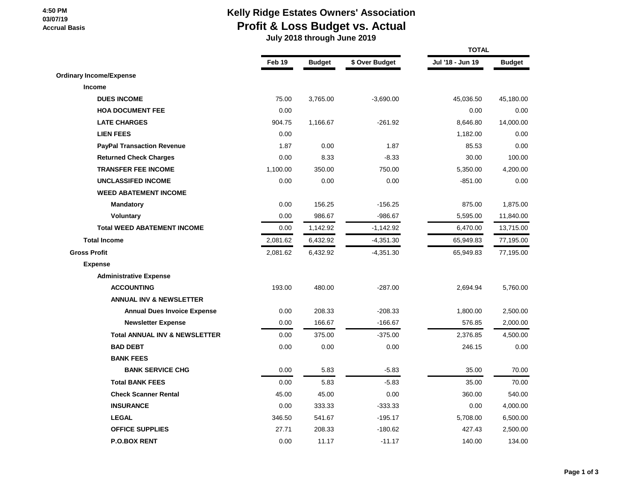#### **4:50 PM 03/07/19 Accrual Basis**

# **Kelly Ridge Estates Owners' Association Profit & Loss Budget vs. Actual**

 **July 2018 through June 2019**

|                                          |          |               |                | <b>TOTAL</b>     |               |  |
|------------------------------------------|----------|---------------|----------------|------------------|---------------|--|
|                                          | Feb 19   | <b>Budget</b> | \$ Over Budget | Jul '18 - Jun 19 | <b>Budget</b> |  |
| <b>Ordinary Income/Expense</b>           |          |               |                |                  |               |  |
| Income                                   |          |               |                |                  |               |  |
| <b>DUES INCOME</b>                       | 75.00    | 3,765.00      | $-3,690.00$    | 45,036.50        | 45,180.00     |  |
| <b>HOA DOCUMENT FEE</b>                  | 0.00     |               |                | 0.00             | 0.00          |  |
| <b>LATE CHARGES</b>                      | 904.75   | 1,166.67      | $-261.92$      | 8,646.80         | 14,000.00     |  |
| <b>LIEN FEES</b>                         | 0.00     |               |                | 1,182.00         | 0.00          |  |
| <b>PayPal Transaction Revenue</b>        | 1.87     | 0.00          | 1.87           | 85.53            | 0.00          |  |
| <b>Returned Check Charges</b>            | 0.00     | 8.33          | $-8.33$        | 30.00            | 100.00        |  |
| <b>TRANSFER FEE INCOME</b>               | 1,100.00 | 350.00        | 750.00         | 5,350.00         | 4,200.00      |  |
| <b>UNCLASSIFED INCOME</b>                | 0.00     | 0.00          | 0.00           | $-851.00$        | 0.00          |  |
| <b>WEED ABATEMENT INCOME</b>             |          |               |                |                  |               |  |
| <b>Mandatory</b>                         | 0.00     | 156.25        | $-156.25$      | 875.00           | 1,875.00      |  |
| <b>Voluntary</b>                         | 0.00     | 986.67        | $-986.67$      | 5,595.00         | 11,840.00     |  |
| <b>Total WEED ABATEMENT INCOME</b>       | 0.00     | 1,142.92      | $-1,142.92$    | 6,470.00         | 13,715.00     |  |
| <b>Total Income</b>                      | 2,081.62 | 6,432.92      | $-4,351.30$    | 65,949.83        | 77,195.00     |  |
| <b>Gross Profit</b>                      | 2,081.62 | 6,432.92      | $-4,351.30$    | 65,949.83        | 77,195.00     |  |
| <b>Expense</b>                           |          |               |                |                  |               |  |
| <b>Administrative Expense</b>            |          |               |                |                  |               |  |
| <b>ACCOUNTING</b>                        | 193.00   | 480.00        | $-287.00$      | 2,694.94         | 5,760.00      |  |
| <b>ANNUAL INV &amp; NEWSLETTER</b>       |          |               |                |                  |               |  |
| <b>Annual Dues Invoice Expense</b>       | 0.00     | 208.33        | $-208.33$      | 1,800.00         | 2,500.00      |  |
| <b>Newsletter Expense</b>                | 0.00     | 166.67        | $-166.67$      | 576.85           | 2,000.00      |  |
| <b>Total ANNUAL INV &amp; NEWSLETTER</b> | 0.00     | 375.00        | $-375.00$      | 2,376.85         | 4,500.00      |  |
| <b>BAD DEBT</b>                          | 0.00     | 0.00          | 0.00           | 246.15           | 0.00          |  |
| <b>BANK FEES</b>                         |          |               |                |                  |               |  |
| <b>BANK SERVICE CHG</b>                  | 0.00     | 5.83          | $-5.83$        | 35.00            | 70.00         |  |
| <b>Total BANK FEES</b>                   | 0.00     | 5.83          | $-5.83$        | 35.00            | 70.00         |  |
| <b>Check Scanner Rental</b>              | 45.00    | 45.00         | 0.00           | 360.00           | 540.00        |  |
| <b>INSURANCE</b>                         | 0.00     | 333.33        | $-333.33$      | 0.00             | 4,000.00      |  |
| <b>LEGAL</b>                             | 346.50   | 541.67        | $-195.17$      | 5,708.00         | 6,500.00      |  |
| <b>OFFICE SUPPLIES</b>                   | 27.71    | 208.33        | $-180.62$      | 427.43           | 2,500.00      |  |
| <b>P.O.BOX RENT</b>                      | 0.00     | 11.17         | $-11.17$       | 140.00           | 134.00        |  |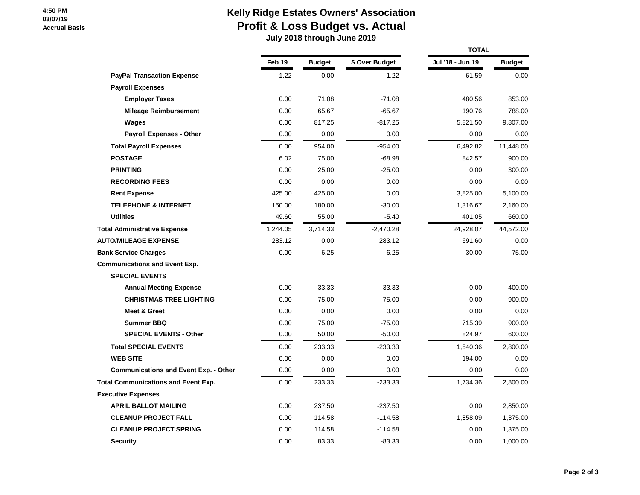#### **4:50 PM 03/07/19 Accrual Basis**

# **Kelly Ridge Estates Owners' Association Profit & Loss Budget vs. Actual**

 **July 2018 through June 2019**

|                                              |          |               |                | <b>TOTAL</b>     |               |  |  |
|----------------------------------------------|----------|---------------|----------------|------------------|---------------|--|--|
|                                              | Feb 19   | <b>Budget</b> | \$ Over Budget | Jul '18 - Jun 19 | <b>Budget</b> |  |  |
| <b>PayPal Transaction Expense</b>            | 1.22     | 0.00          | 1.22           | 61.59            | 0.00          |  |  |
| <b>Payroll Expenses</b>                      |          |               |                |                  |               |  |  |
| <b>Employer Taxes</b>                        | 0.00     | 71.08         | $-71.08$       | 480.56           | 853.00        |  |  |
| <b>Mileage Reimbursement</b>                 | 0.00     | 65.67         | $-65.67$       | 190.76           | 788.00        |  |  |
| Wages                                        | 0.00     | 817.25        | $-817.25$      | 5,821.50         | 9,807.00      |  |  |
| <b>Payroll Expenses - Other</b>              | 0.00     | 0.00          | 0.00           | 0.00             | 0.00          |  |  |
| <b>Total Payroll Expenses</b>                | 0.00     | 954.00        | $-954.00$      | 6,492.82         | 11,448.00     |  |  |
| <b>POSTAGE</b>                               | 6.02     | 75.00         | $-68.98$       | 842.57           | 900.00        |  |  |
| <b>PRINTING</b>                              | 0.00     | 25.00         | $-25.00$       | 0.00             | 300.00        |  |  |
| <b>RECORDING FEES</b>                        | 0.00     | 0.00          | 0.00           | 0.00             | 0.00          |  |  |
| <b>Rent Expense</b>                          | 425.00   | 425.00        | 0.00           | 3,825.00         | 5,100.00      |  |  |
| <b>TELEPHONE &amp; INTERNET</b>              | 150.00   | 180.00        | $-30.00$       | 1,316.67         | 2,160.00      |  |  |
| <b>Utilities</b>                             | 49.60    | 55.00         | $-5.40$        | 401.05           | 660.00        |  |  |
| <b>Total Administrative Expense</b>          | 1,244.05 | 3,714.33      | $-2,470.28$    | 24,928.07        | 44,572.00     |  |  |
| <b>AUTO/MILEAGE EXPENSE</b>                  | 283.12   | 0.00          | 283.12         | 691.60           | 0.00          |  |  |
| <b>Bank Service Charges</b>                  | 0.00     | 6.25          | $-6.25$        | 30.00            | 75.00         |  |  |
| <b>Communications and Event Exp.</b>         |          |               |                |                  |               |  |  |
| <b>SPECIAL EVENTS</b>                        |          |               |                |                  |               |  |  |
| <b>Annual Meeting Expense</b>                | 0.00     | 33.33         | $-33.33$       | 0.00             | 400.00        |  |  |
| <b>CHRISTMAS TREE LIGHTING</b>               | 0.00     | 75.00         | $-75.00$       | 0.00             | 900.00        |  |  |
| <b>Meet &amp; Greet</b>                      | 0.00     | 0.00          | 0.00           | 0.00             | 0.00          |  |  |
| <b>Summer BBQ</b>                            | 0.00     | 75.00         | $-75.00$       | 715.39           | 900.00        |  |  |
| <b>SPECIAL EVENTS - Other</b>                | 0.00     | 50.00         | $-50.00$       | 824.97           | 600.00        |  |  |
| <b>Total SPECIAL EVENTS</b>                  | 0.00     | 233.33        | $-233.33$      | 1,540.36         | 2,800.00      |  |  |
| <b>WEB SITE</b>                              | 0.00     | 0.00          | 0.00           | 194.00           | 0.00          |  |  |
| <b>Communications and Event Exp. - Other</b> | 0.00     | 0.00          | 0.00           | 0.00             | 0.00          |  |  |
| <b>Total Communications and Event Exp.</b>   | 0.00     | 233.33        | $-233.33$      | 1,734.36         | 2,800.00      |  |  |
| <b>Executive Expenses</b>                    |          |               |                |                  |               |  |  |
| <b>APRIL BALLOT MAILING</b>                  | 0.00     | 237.50        | $-237.50$      | 0.00             | 2,850.00      |  |  |
| <b>CLEANUP PROJECT FALL</b>                  | 0.00     | 114.58        | $-114.58$      | 1,858.09         | 1,375.00      |  |  |
| <b>CLEANUP PROJECT SPRING</b>                | 0.00     | 114.58        | $-114.58$      | 0.00             | 1,375.00      |  |  |
| <b>Security</b>                              | 0.00     | 83.33         | $-83.33$       | 0.00             | 1,000.00      |  |  |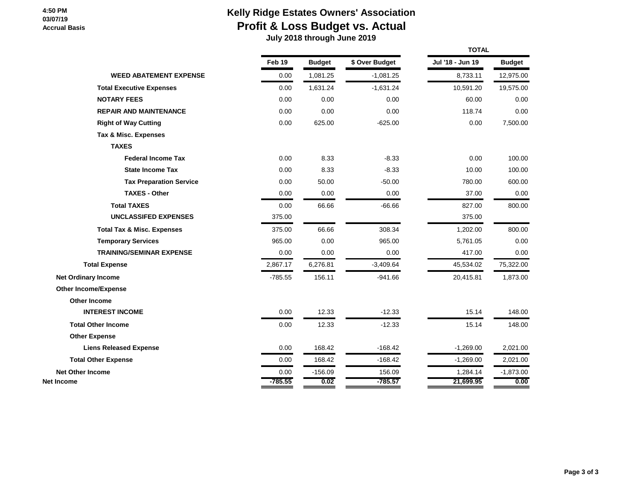#### **4:50 PM 03/07/19 Accrual Basis**

# **Kelly Ridge Estates Owners' Association Profit & Loss Budget vs. Actual**

 **July 2018 through June 2019**

|                                       |           |               |                | <b>TOTAL</b>     |               |  |
|---------------------------------------|-----------|---------------|----------------|------------------|---------------|--|
|                                       | Feb 19    | <b>Budget</b> | \$ Over Budget | Jul '18 - Jun 19 | <b>Budget</b> |  |
| <b>WEED ABATEMENT EXPENSE</b>         | 0.00      | 1,081.25      | $-1,081.25$    | 8,733.11         | 12,975.00     |  |
| <b>Total Executive Expenses</b>       | 0.00      | 1,631.24      | $-1,631.24$    | 10,591.20        | 19,575.00     |  |
| <b>NOTARY FEES</b>                    | 0.00      | 0.00          | 0.00           | 60.00            | 0.00          |  |
| <b>REPAIR AND MAINTENANCE</b>         | 0.00      | 0.00          | 0.00           | 118.74           | 0.00          |  |
| <b>Right of Way Cutting</b>           | 0.00      | 625.00        | $-625.00$      | 0.00             | 7,500.00      |  |
| Tax & Misc. Expenses                  |           |               |                |                  |               |  |
| <b>TAXES</b>                          |           |               |                |                  |               |  |
| <b>Federal Income Tax</b>             | 0.00      | 8.33          | $-8.33$        | 0.00             | 100.00        |  |
| <b>State Income Tax</b>               | 0.00      | 8.33          | $-8.33$        | 10.00            | 100.00        |  |
| <b>Tax Preparation Service</b>        | 0.00      | 50.00         | $-50.00$       | 780.00           | 600.00        |  |
| <b>TAXES - Other</b>                  | 0.00      | 0.00          | 0.00           | 37.00            | 0.00          |  |
| <b>Total TAXES</b>                    | 0.00      | 66.66         | $-66.66$       | 827.00           | 800.00        |  |
| <b>UNCLASSIFED EXPENSES</b>           | 375.00    |               |                | 375.00           |               |  |
| <b>Total Tax &amp; Misc. Expenses</b> | 375.00    | 66.66         | 308.34         | 1,202.00         | 800.00        |  |
| <b>Temporary Services</b>             | 965.00    | 0.00          | 965.00         | 5,761.05         | 0.00          |  |
| <b>TRAINING/SEMINAR EXPENSE</b>       | 0.00      | 0.00          | 0.00           | 417.00           | 0.00          |  |
| <b>Total Expense</b>                  | 2,867.17  | 6,276.81      | $-3,409.64$    | 45,534.02        | 75,322.00     |  |
| <b>Net Ordinary Income</b>            | $-785.55$ | 156.11        | $-941.66$      | 20,415.81        | 1,873.00      |  |
| <b>Other Income/Expense</b>           |           |               |                |                  |               |  |
| Other Income                          |           |               |                |                  |               |  |
| <b>INTEREST INCOME</b>                | 0.00      | 12.33         | $-12.33$       | 15.14            | 148.00        |  |
| <b>Total Other Income</b>             | 0.00      | 12.33         | $-12.33$       | 15.14            | 148.00        |  |
| <b>Other Expense</b>                  |           |               |                |                  |               |  |
| <b>Liens Released Expense</b>         | 0.00      | 168.42        | $-168.42$      | $-1,269.00$      | 2,021.00      |  |
| <b>Total Other Expense</b>            | 0.00      | 168.42        | $-168.42$      | $-1,269.00$      | 2,021.00      |  |
| <b>Net Other Income</b>               | 0.00      | $-156.09$     | 156.09         | 1,284.14         | $-1,873.00$   |  |
| Net Income                            | $-785.55$ | 0.02          | $-785.57$      | 21,699.95        | 0.00          |  |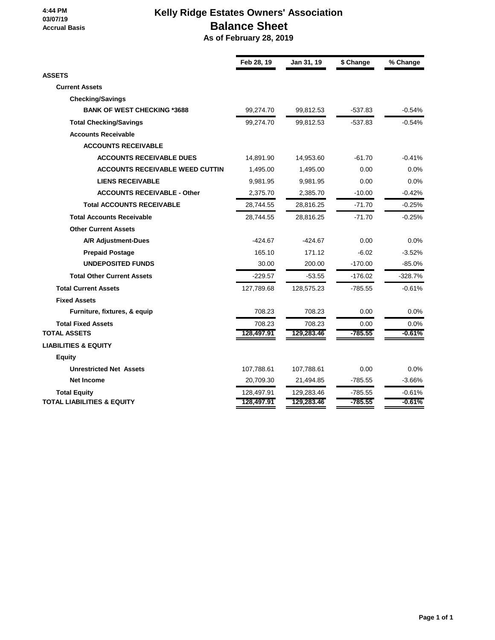#### **4:44 PM 03/07/19 Accrual Basis**

# **Kelly Ridge Estates Owners' Association Balance Sheet**

 **As of February 28, 2019**

|                                        | Feb 28, 19 | Jan 31, 19 | \$ Change | % Change  |
|----------------------------------------|------------|------------|-----------|-----------|
| <b>ASSETS</b>                          |            |            |           |           |
| <b>Current Assets</b>                  |            |            |           |           |
| <b>Checking/Savings</b>                |            |            |           |           |
| <b>BANK OF WEST CHECKING *3688</b>     | 99,274.70  | 99,812.53  | $-537.83$ | $-0.54%$  |
| <b>Total Checking/Savings</b>          | 99,274.70  | 99,812.53  | $-537.83$ | $-0.54%$  |
| <b>Accounts Receivable</b>             |            |            |           |           |
| <b>ACCOUNTS RECEIVABLE</b>             |            |            |           |           |
| <b>ACCOUNTS RECEIVABLE DUES</b>        | 14,891.90  | 14,953.60  | $-61.70$  | $-0.41%$  |
| <b>ACCOUNTS RECEIVABLE WEED CUTTIN</b> | 1,495.00   | 1,495.00   | 0.00      | 0.0%      |
| <b>LIENS RECEIVABLE</b>                | 9,981.95   | 9,981.95   | 0.00      | 0.0%      |
| <b>ACCOUNTS RECEIVABLE - Other</b>     | 2,375.70   | 2,385.70   | $-10.00$  | $-0.42%$  |
| <b>Total ACCOUNTS RECEIVABLE</b>       | 28,744.55  | 28,816.25  | $-71.70$  | $-0.25%$  |
| <b>Total Accounts Receivable</b>       | 28,744.55  | 28,816.25  | $-71.70$  | $-0.25%$  |
| <b>Other Current Assets</b>            |            |            |           |           |
| <b>A/R Adjustment-Dues</b>             | $-424.67$  | $-424.67$  | 0.00      | 0.0%      |
| <b>Prepaid Postage</b>                 | 165.10     | 171.12     | $-6.02$   | $-3.52%$  |
| <b>UNDEPOSITED FUNDS</b>               | 30.00      | 200.00     | $-170.00$ | $-85.0%$  |
| <b>Total Other Current Assets</b>      | $-229.57$  | $-53.55$   | $-176.02$ | $-328.7%$ |
| <b>Total Current Assets</b>            | 127,789.68 | 128,575.23 | $-785.55$ | $-0.61%$  |
| <b>Fixed Assets</b>                    |            |            |           |           |
| Furniture, fixtures, & equip           | 708.23     | 708.23     | 0.00      | 0.0%      |
| <b>Total Fixed Assets</b>              | 708.23     | 708.23     | 0.00      | 0.0%      |
| <b>TOTAL ASSETS</b>                    | 128,497.91 | 129,283.46 | $-785.55$ | $-0.61%$  |
| <b>LIABILITIES &amp; EQUITY</b>        |            |            |           |           |
| <b>Equity</b>                          |            |            |           |           |
| <b>Unrestricted Net Assets</b>         | 107,788.61 | 107,788.61 | 0.00      | 0.0%      |
| <b>Net Income</b>                      | 20,709.30  | 21,494.85  | $-785.55$ | $-3.66%$  |
| <b>Total Equity</b>                    | 128,497.91 | 129,283.46 | $-785.55$ | $-0.61%$  |
| TOTAL LIABILITIES & EQUITY             | 128,497.91 | 129,283.46 | $-785.55$ | $-0.61%$  |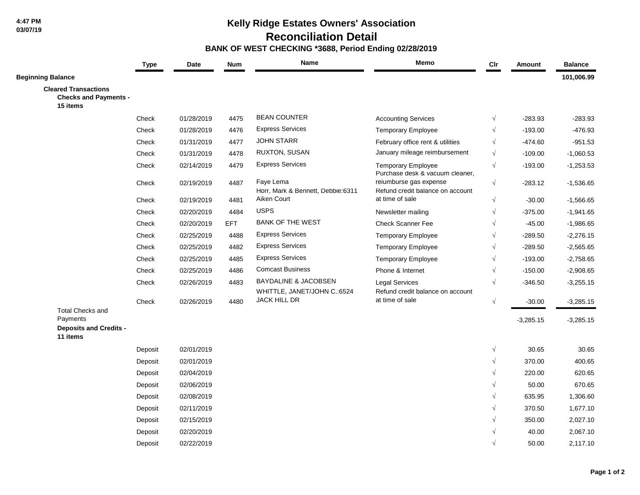**4:47 PM 03/07/19**

## **Kelly Ridge Estates Owners' Association**

 **Reconciliation Detail**

#### **BANK OF WEST CHECKING \*3688, Period Ending 02/28/2019**

|                                                                         | <b>Type</b> | Date       | <b>Num</b> | Name                                                           | Memo                                                         | Cir        | Amount      | <b>Balance</b> |
|-------------------------------------------------------------------------|-------------|------------|------------|----------------------------------------------------------------|--------------------------------------------------------------|------------|-------------|----------------|
| <b>Beginning Balance</b>                                                |             |            |            |                                                                |                                                              |            |             | 101,006.99     |
| <b>Cleared Transactions</b><br><b>Checks and Payments -</b><br>15 items |             |            |            |                                                                |                                                              |            |             |                |
|                                                                         | Check       | 01/28/2019 | 4475       | <b>BEAN COUNTER</b>                                            | <b>Accounting Services</b>                                   | $\sqrt{}$  | $-283.93$   | $-283.93$      |
|                                                                         | Check       | 01/28/2019 | 4476       | <b>Express Services</b>                                        | Temporary Employee                                           | $\sqrt{}$  | $-193.00$   | $-476.93$      |
|                                                                         | Check       | 01/31/2019 | 4477       | <b>JOHN STARR</b>                                              | February office rent & utilities                             | $\sqrt{}$  | $-474.60$   | $-951.53$      |
|                                                                         | Check       | 01/31/2019 | 4478       | <b>RUXTON, SUSAN</b>                                           | January mileage reimbursement                                | $\sqrt{}$  | $-109.00$   | $-1,060.53$    |
|                                                                         | Check       | 02/14/2019 | 4479       | <b>Express Services</b>                                        | <b>Temporary Employee</b><br>Purchase desk & vacuum cleaner, | $\sqrt{}$  | $-193.00$   | $-1,253.53$    |
|                                                                         | Check       | 02/19/2019 | 4487       | Faye Lema<br>Horr, Mark & Bennett, Debbie:6311                 | reiumburse gas expense<br>Refund credit balance on account   | $\sqrt{}$  | $-283.12$   | $-1,536.65$    |
|                                                                         | Check       | 02/19/2019 | 4481       | Aiken Court                                                    | at time of sale                                              | $\sqrt{}$  | $-30.00$    | $-1,566.65$    |
|                                                                         | Check       | 02/20/2019 | 4484       | <b>USPS</b>                                                    | Newsletter mailing                                           | $\sqrt{ }$ | $-375.00$   | $-1,941.65$    |
|                                                                         | Check       | 02/20/2019 | <b>EFT</b> | <b>BANK OF THE WEST</b>                                        | <b>Check Scanner Fee</b>                                     |            | $-45.00$    | $-1,986.65$    |
|                                                                         | Check       | 02/25/2019 | 4488       | <b>Express Services</b>                                        | <b>Temporary Employee</b>                                    | $\sqrt{}$  | $-289.50$   | $-2,276.15$    |
|                                                                         | Check       | 02/25/2019 | 4482       | <b>Express Services</b>                                        | <b>Temporary Employee</b>                                    |            | $-289.50$   | $-2,565.65$    |
|                                                                         | Check       | 02/25/2019 | 4485       | <b>Express Services</b>                                        | <b>Temporary Employee</b>                                    | $\sqrt{ }$ | $-193.00$   | $-2,758.65$    |
|                                                                         | Check       | 02/25/2019 | 4486       | <b>Comcast Business</b>                                        | Phone & Internet                                             |            | $-150.00$   | $-2,908.65$    |
|                                                                         | Check       | 02/26/2019 | 4483       | <b>BAYDALINE &amp; JACOBSEN</b><br>WHITTLE, JANET/JOHN C.:6524 | <b>Legal Services</b><br>Refund credit balance on account    | $\sqrt{}$  | $-346.50$   | $-3,255.15$    |
| <b>Total Checks and</b>                                                 | Check       | 02/26/2019 | 4480       | JACK HILL DR                                                   | at time of sale                                              | $\sqrt{}$  | $-30.00$    | $-3,285.15$    |
| Payments<br><b>Deposits and Credits -</b><br>11 items                   |             |            |            |                                                                |                                                              |            | $-3,285.15$ | $-3,285.15$    |
|                                                                         | Deposit     | 02/01/2019 |            |                                                                |                                                              | $\sqrt{}$  | 30.65       | 30.65          |
|                                                                         | Deposit     | 02/01/2019 |            |                                                                |                                                              |            | 370.00      | 400.65         |
|                                                                         | Deposit     | 02/04/2019 |            |                                                                |                                                              |            | 220.00      | 620.65         |
|                                                                         | Deposit     | 02/06/2019 |            |                                                                |                                                              |            | 50.00       | 670.65         |
|                                                                         | Deposit     | 02/08/2019 |            |                                                                |                                                              |            | 635.95      | 1,306.60       |
|                                                                         | Deposit     | 02/11/2019 |            |                                                                |                                                              |            | 370.50      | 1,677.10       |
|                                                                         | Deposit     | 02/15/2019 |            |                                                                |                                                              |            | 350.00      | 2,027.10       |
|                                                                         | Deposit     | 02/20/2019 |            |                                                                |                                                              |            | 40.00       | 2,067.10       |
|                                                                         | Deposit     | 02/22/2019 |            |                                                                |                                                              |            | 50.00       | 2,117.10       |